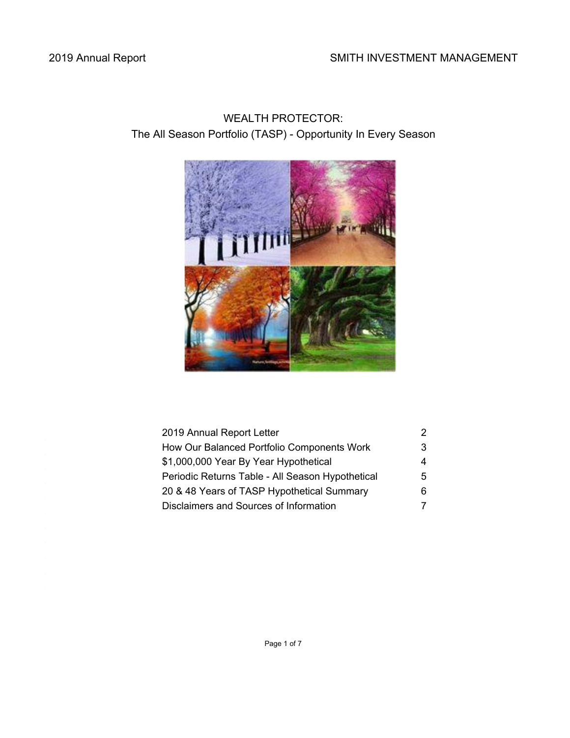# 2019 Annual Report **SMITH INVESTMENT MANAGEMENT**

# WEALTH PROTECTOR: The All Season Portfolio (TASP) - Opportunity In Every Season



| 2019 Annual Report Letter                        |    |
|--------------------------------------------------|----|
| How Our Balanced Portfolio Components Work       | 3. |
| \$1,000,000 Year By Year Hypothetical            | 4  |
| Periodic Returns Table - All Season Hypothetical | 5. |
| 20 & 48 Years of TASP Hypothetical Summary       |    |
| Disclaimers and Sources of Information           |    |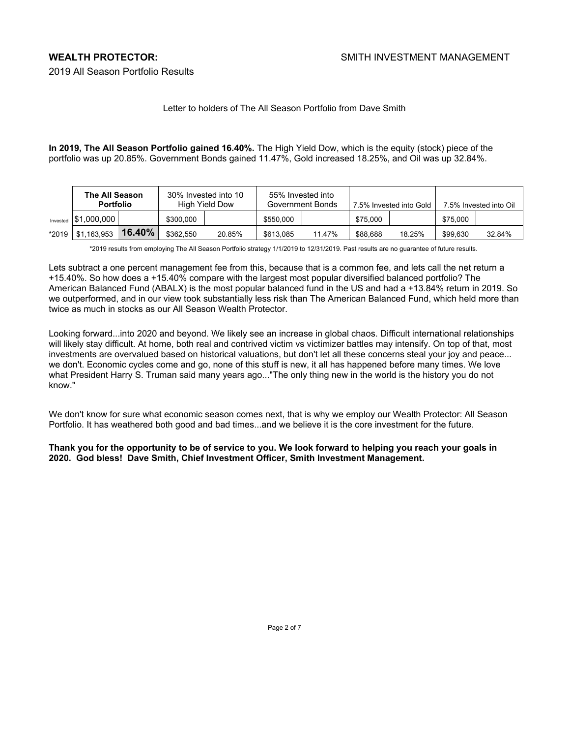2019 All Season Portfolio Results

## Letter to holders of The All Season Portfolio from Dave Smith

**In 2019, The All Season Portfolio gained 16.40%.** The High Yield Dow, which is the equity (stock) piece of the portfolio was up 20.85%. Government Bonds gained 11.47%, Gold increased 18.25%, and Oil was up 32.84%.

|          | <b>The All Season</b><br><b>Portfolio</b> |        |           | 30% Invested into 10<br>High Yield Dow |           | 55% Invested into<br>Government Bonds |          | 7.5% Invested into Gold |          | 7.5% Invested into Oil |  |
|----------|-------------------------------------------|--------|-----------|----------------------------------------|-----------|---------------------------------------|----------|-------------------------|----------|------------------------|--|
| Invested | \$1,000,000                               |        | \$300,000 |                                        | \$550,000 |                                       | \$75,000 |                         | \$75,000 |                        |  |
| *2019    | \$1,163,953                               | 16.40% | \$362.550 | 20.85%                                 | \$613.085 | 11.47%                                | \$88,688 | 18.25%                  | \$99.630 | 32.84%                 |  |

\*2019 results from employing The All Season Portfolio strategy 1/1/2019 to 12/31/2019. Past results are no guarantee of future results.

Lets subtract a one percent management fee from this, because that is a common fee, and lets call the net return a +15.40%. So how does a +15.40% compare with the largest most popular diversified balanced portfolio? The American Balanced Fund (ABALX) is the most popular balanced fund in the US and had a +13.84% return in 2019. So we outperformed, and in our view took substantially less risk than The American Balanced Fund, which held more than twice as much in stocks as our All Season Wealth Protector.

Looking forward...into 2020 and beyond. We likely see an increase in global chaos. Difficult international relationships will likely stay difficult. At home, both real and contrived victim vs victimizer battles may intensify. On top of that, most investments are overvalued based on historical valuations, but don't let all these concerns steal your joy and peace... we don't. Economic cycles come and go, none of this stuff is new, it all has happened before many times. We love what President Harry S. Truman said many years ago..."The only thing new in the world is the history you do not know."

We don't know for sure what economic season comes next, that is why we employ our Wealth Protector: All Season Portfolio. It has weathered both good and bad times...and we believe it is the core investment for the future.

**Thank you for the opportunity to be of service to you. We look forward to helping you reach your goals in 2020. God bless! Dave Smith, Chief Investment Officer, Smith Investment Management.**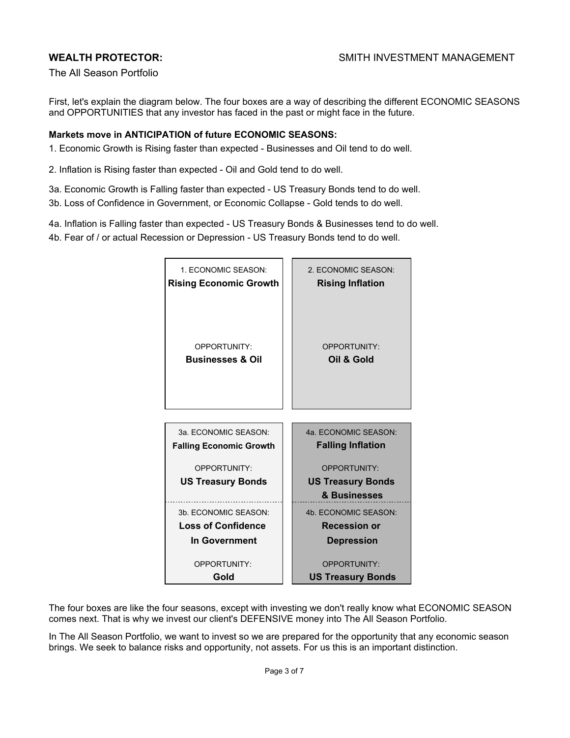The All Season Portfolio

First, let's explain the diagram below. The four boxes are a way of describing the different ECONOMIC SEASONS and OPPORTUNITIES that any investor has faced in the past or might face in the future.

### **Markets move in ANTICIPATION of future ECONOMIC SEASONS:**

- 1. Economic Growth is Rising faster than expected Businesses and Oil tend to do well.
- 2. Inflation is Rising faster than expected Oil and Gold tend to do well.
- 3a. Economic Growth is Falling faster than expected US Treasury Bonds tend to do well.
- 3b. Loss of Confidence in Government, or Economic Collapse Gold tends to do well.
- 4a. Inflation is Falling faster than expected US Treasury Bonds & Businesses tend to do well.
- 4b. Fear of / or actual Recession or Depression US Treasury Bonds tend to do well.

| 1. ECONOMIC SEASON:<br><b>Rising Economic Growth</b> | 2. ECONOMIC SEASON:<br><b>Rising Inflation</b> |
|------------------------------------------------------|------------------------------------------------|
| OPPORTUNITY:<br><b>Businesses &amp; Oil</b>          | OPPORTUNITY:<br>Oil & Gold                     |
|                                                      |                                                |
| 3a. ECONOMIC SEASON:                                 | 4a. ECONOMIC SEASON:                           |
| <b>Falling Economic Growth</b>                       | <b>Falling Inflation</b>                       |
| OPPORTUNITY:                                         | OPPORTUNITY:                                   |
| <b>US Treasury Bonds</b>                             | <b>US Treasury Bonds</b>                       |
|                                                      | & Businesses                                   |
| 3b. ECONOMIC SEASON:                                 | 4b. ECONOMIC SEASON:                           |
| <b>Loss of Confidence</b>                            | <b>Recession or</b>                            |
| In Government                                        | <b>Depression</b>                              |
| OPPORTUNITY:                                         | OPPORTUNITY:                                   |
| Gold                                                 | <b>US Treasury Bonds</b>                       |

The four boxes are like the four seasons, except with investing we don't really know what ECONOMIC SEASON comes next. That is why we invest our client's DEFENSIVE money into The All Season Portfolio.

In The All Season Portfolio, we want to invest so we are prepared for the opportunity that any economic season brings. We seek to balance risks and opportunity, not assets. For us this is an important distinction.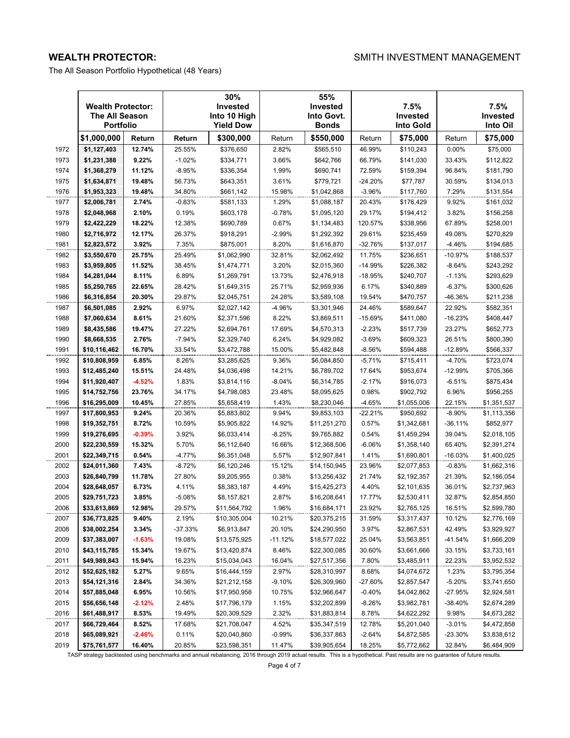WEALTH PROTECTOR: WEALTH INVESTMENT MANAGEMENT

The All Season Portfolio Hypothetical (48 Years)

|              | <b>Wealth Protector:</b><br><b>The All Season</b><br>Portfolio |                   |                  | 30%<br>Invested<br>Into 10 High<br><b>Yield Dow</b> |                  | 55%<br>Invested<br>Into Govt.<br>Bonds |                 | 7.5%<br>Invested<br>Into Gold |                  | 7.5%<br>Invested<br>Into Oil |
|--------------|----------------------------------------------------------------|-------------------|------------------|-----------------------------------------------------|------------------|----------------------------------------|-----------------|-------------------------------|------------------|------------------------------|
|              | \$1,000,000                                                    | Return            | Return           | \$300,000                                           | Return           | \$550,000                              | Return          | \$75,000                      | Return           | \$75,000                     |
| 1972         | \$1,127,403                                                    | 12.74%            | 25.55%           | \$376,650                                           | 2.82%            | \$565,510                              | 46.99%          | \$110,243                     | 0.00%            | \$75,000                     |
| 1973         | \$1,231,388                                                    | 9.22%             | $-1.02%$         | \$334,771                                           | 3.66%            | \$642,766                              | 66.79%          | \$141,030                     | 33.43%           | \$112,822                    |
| 1974         | \$1,368,279                                                    | 11.12%            | $-8.95%$         | \$336,354                                           | 1.99%            | \$690,741                              | 72.59%          | \$159,394                     | 96.84%           | \$181,790                    |
| 1975         | \$1,634,871                                                    | 19.48%            | 56.73%           | \$643,351                                           | 3.61%            | \$779,721                              | $-24.20%$       | \$77,787                      | 30.59%           | \$134,013                    |
| 1976         | \$1,953,323                                                    | 19.48%            | 34.80%           | \$661,142                                           | 15.98%           | \$1,042,868                            | $-3.96%$        | \$117,760                     | 7.29%            | \$131,554                    |
| 1977         | \$2,006,781                                                    | 2.74%             | $-0.83%$         | \$581,133                                           | 1.29%            | \$1,088,187                            | 20.43%          | \$176,429                     | 9.92%            | \$161,032                    |
| 1978         | \$2,048,968                                                    | 2.10%             | 0.19%            | \$603,178                                           | $-0.78%$         | \$1,095,120                            | 29.17%          | \$194,412                     | 3.82%            | \$156,258                    |
| 1979         | \$2,422,229                                                    | 18.22%            | 12.38%           | \$690,789                                           | 0.67%            | \$1,134,483                            | 120.57%         | \$338,956                     | 67.89%           | \$258,001                    |
| 1980         | \$2,716,972                                                    | 12.17%            | 26.37%           | \$918,291                                           | $-2.99%$         | \$1,292,392                            | 29.61%          | \$235,459                     | 49.08%           | \$270,829                    |
| 1981         | \$2,823,572                                                    | 3.92%             | 7.35%            | \$875,001                                           | 8.20%            | \$1,616,870                            | $-32.76%$       | \$137,017                     | $-4.46%$         | \$194,685                    |
| 1982         | \$3,550,670                                                    | 25.75%            | 25.49%           | \$1,062,990                                         | 32.81%           | \$2,062,492                            | 11.75%          | \$236,651                     | $-10.97%$        | \$188,537                    |
| 1983         | \$3,959,805                                                    | 11.52%            | 38.45%           | \$1,474,771                                         | 3.20%            | \$2,015,360                            | $-14.99%$       | \$226,382                     | $-8.64%$         | \$243,292                    |
| 1984         | \$4,281,044                                                    | 8.11%             | 6.89%            | \$1,269,791                                         | 13.73%           | \$2,476,918                            | $-18.95%$       | \$240,707                     | $-1.13%$         | \$293,629                    |
| 1985         | \$5,250,765                                                    | 22.65%            | 28.42%           | \$1,649,315                                         | 25.71%           | \$2,959,936                            | 6.17%           | \$340,889                     | $-6.37%$         | \$300,626                    |
| 1986         | \$6,316,854                                                    | 20.30%            | 29.87%           | \$2,045,751                                         | 24.28%           | \$3,589,108                            | 19.54%          | \$470,757                     | -46.36%          | \$211,238                    |
| 1987         | \$6,501,085                                                    | 2.92%             | 6.97%            | \$2,027,142                                         | $-4.96%$         | \$3,301,946                            | 24.46%          | \$589,647                     | 22.92%           | \$582,351                    |
| 1988         | \$7,060,634                                                    | 8.61%             | 21.60%           | \$2,371,596                                         | 8.22%            | \$3,869,511                            | $-15.69%$       | \$411,080                     | $-16.23%$        | \$408,447                    |
| 1989         | \$8,435,586                                                    | 19.47%            | 27.22%           | \$2,694,761                                         | 17.69%           | \$4,570,313                            | $-2.23%$        | \$517,739                     | 23.27%           | \$652,773                    |
| 1990         | \$8,668,535                                                    | 2.76%             | $-7.94%$         | \$2,329,740                                         | 6.24%            | \$4,929,082                            | $-3.69%$        | \$609,323                     | 26.51%           | \$800,390                    |
| 1991         | \$10,116,462                                                   | 16.70%            | 33.54%           | \$3,472,788                                         | 15.00%           | \$5,482,848                            | $-8.56%$        | \$594,488                     | $-12.89%$        | \$566,337                    |
| 1992         | \$10,808,959                                                   | 6.85%             | 8.26%            | \$3,285,625                                         | 9.36%            | \$6,084,850                            | $-5.71%$        | \$715,411                     | $-4.70%$         | \$723,074                    |
| 1993         | \$12,485,240                                                   | 15.51%            | 24.48%           | \$4,036,498                                         | 14.21%           | \$6,789,702                            | 17.64%          | \$953,674                     | -12.99%          | \$705,366                    |
| 1994         | \$11,920,407                                                   | $-4.52%$          | 1.83%            | \$3,814,116                                         | $-8.04%$         | \$6,314,785                            | $-2.17%$        | \$916,073                     | $-6.51%$         | \$875,434                    |
| 1995         | \$14,752,756                                                   | 23.76%            | 34.17%           | \$4,798,083                                         | 23.48%           | \$8,095,625                            | 0.98%           | \$902,792                     | 6.96%            | \$956,255                    |
| 1996         | \$16,295,009                                                   | 10.45%            | 27.85%           | \$5,658,419                                         | 1.43%            | \$8,230,046                            | $-4.65%$        | \$1,055,006                   | 22.15%           | \$1,351,537                  |
| 1997         | \$17,800,953                                                   | 9.24%             | 20.36%           | \$5,883,802                                         | 9.94%            | \$9,853,103                            | $-22.21%$       | \$950,692                     | $-8.90%$         | \$1,113,356                  |
| 1998         | \$19,352,751                                                   | 8.72%             | 10.59%           | \$5,905,822                                         | 14.92%           | \$11,251,270                           | 0.57%           | \$1,342,681                   | $-36.11%$        | \$852,977                    |
| 1999         | \$19,276,695                                                   | $-0.39%$          | 3.92%            | \$6,033,414                                         | $-8.25%$         | \$9,765,882                            | 0.54%           | \$1,459,294                   | 39.04%           | \$2,018,105                  |
| 2000         | \$22,230,559                                                   | 15.32%            | 5.70%            | \$6,112,640                                         | 16.66%           | \$12,368,506                           | -6.06%          | \$1,358,140                   | 65.40%           | \$2,391,274                  |
| 2001         | \$22,349,715                                                   | 0.54%             | $-4.77%$         | \$6,351,048                                         | 5.57%            | \$12,907,841                           | 1.41%           | \$1,690,801                   | $-16.03%$        | \$1,400,025                  |
| 2002         | \$24,011,360                                                   | 7.43%             | $-8.72%$         | \$6,120,246                                         | 15.12%           | \$14,150,945                           | 23.96%          | \$2,077,853                   | $-0.83%$         | \$1,662,316                  |
| 2003         | \$26,840,799                                                   | 11.78%            | 27.80%           | \$9,205,955                                         | 0.38%            | \$13,256,432                           | 21.74%          | \$2,192,357                   | 21.39%           | \$2,186,054                  |
| 2004         | \$28,648,057                                                   | 6.73%             | 4.11%            | \$8,383,187                                         | 4.49%            | \$15,425,273                           | 4.40%           | \$2,101,635                   | 36.01%           | \$2,737,963                  |
| 2005         | \$29,751,723                                                   | 3.85%             | $-5.08%$         | \$8,157,821                                         | 2.87%            | \$16,208,641                           | 17.77%          | \$2,530,411                   | 32.87%           | \$2,854,850                  |
| 2006         | \$33,613,869                                                   | 12.98%            | 29.57%           | \$11,564,792                                        | 1.96%            | \$16,684,171<br>\$20,375,215           | 23.92%          | \$2,765,125                   | 16.51%           | \$2,599,780<br>\$2,776,169   |
| 2007<br>2008 | \$36,773,825<br>\$38,002,254                                   | $9.40\%$<br>3.34% | 2.19%<br>-37.33% | \$10,305,004<br>\$6,913,847                         | 10.21%<br>20.10% | \$24,290,950                           | 31.59%<br>3.97% | \$3,317,437<br>\$2,867,531    | 10.12%<br>42.49% | \$3,929,927                  |
| 2009         | \$37,383,007                                                   | $-1.63%$          | 19.08%           | \$13,575,925                                        | -11.12%          | \$18,577,022                           | 25.04%          | \$3,563,851                   | -41.54%          | \$1,666,209                  |
| 2010         | \$43,115,785                                                   | 15.34%            | 19.67%           | \$13,420,874                                        | 8.46%            | \$22,300,085                           | 30.60%          | \$3,661,666                   | 33.15%           | \$3,733,161                  |
| 2011         | \$49,989,843                                                   |                   |                  |                                                     |                  |                                        | 7.80%           |                               |                  |                              |
| 2012         | \$52,625,182                                                   | 15.94%<br>5.27%   | 16.23%<br>9.65%  | \$15,034,043<br>\$16,444,159                        | 16.04%<br>2.97%  | \$27,517,356<br>\$28,310,997           | 8.68%           | \$3,485,911<br>\$4,074,672    | 22.23%<br>1.23%  | \$3,952,532<br>\$3,795,354   |
| 2013         | \$54,121,316                                                   | 2.84%             | 34.36%           | \$21,212,158                                        | $-9.10%$         | \$26,309,960                           | -27.60%         | \$2,857,547                   | $-5.20%$         | \$3,741,650                  |
| 2014         | \$57,885,048                                                   | 6.95%             | 10.56%           | \$17,950,958                                        | 10.75%           | \$32,966,647                           | $-0.40\%$       | \$4,042,862                   | -27.95%          | \$2,924,581                  |
| 2015         | \$56,656,148                                                   | $-2.12%$          | 2.48%            | \$17,796,179                                        | 1.15%            | \$32,202,899                           | -8.26%          | \$3,982,781                   | -38.40%          | \$2,674,289                  |
| 2016         | \$61,488,917                                                   | 8.53%             | 19.49%           | \$20,309,529                                        | 2.32%            | \$31,883,814                           | 8.78%           | \$4,622,292                   | 9.98%            | \$4,673,282                  |
| 2017         | \$66,729,464                                                   | 8.52%             | 17.68%           | \$21,708,047                                        | 4.52%            | \$35,347,519                           | 12.78%          | \$5,201,040                   | $-3.01%$         | \$4,472,858                  |
| 2018         | \$65,089,921                                                   | $-2.46%$          | 0.11%            | \$20,040,860                                        | $-0.99%$         | \$36,337,863                           | $-2.64%$        | \$4,872,585                   | -23.30%          | \$3,838,612                  |
| 2019         | \$75,761,577                                                   | 16.40%            | 20.85%           | \$23,598,351                                        | 11.47%           | \$39,905,654                           | 18.25%          | \$5,772,662                   | 32.84%           | \$6,484,909                  |

TASP strategy backtested using benchmarks and annual rebalancing, 2016 through 2019 actual results. This is a hypothetical. Past results are no guarantee of future results.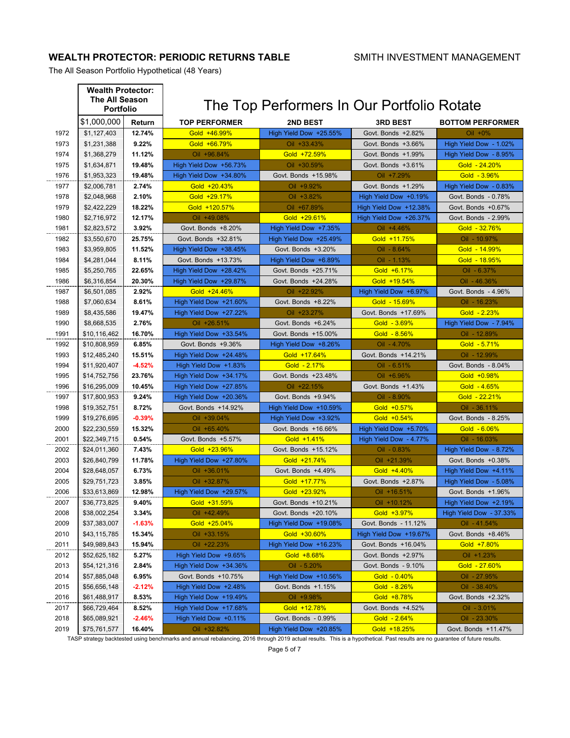## **WEALTH PROTECTOR: PERIODIC RETURNS TABLE** SMITH INVESTMENT MANAGEMENT

The All Season Portfolio Hypothetical (48 Years)

|      | <b>Wealth Protector:</b><br>The All Season<br><b>Portfolio</b> |          |                        | The Top Performers In Our Portfolio Rotate |                                     |                         |  |
|------|----------------------------------------------------------------|----------|------------------------|--------------------------------------------|-------------------------------------|-------------------------|--|
|      | \$1,000,000                                                    | Return   | <b>TOP PERFORMER</b>   | <b>2ND BEST</b>                            | <b>3RD BEST</b>                     | <b>BOTTOM PERFORMER</b> |  |
| 1972 | \$1,127,403                                                    | 12.74%   | Gold +46.99%           | High Yield Dow +25.55%                     | Govt. Bonds +2.82%                  | $Oil + 0%$              |  |
| 1973 | \$1,231,388                                                    | 9.22%    | Gold +66.79%           | Oil +33.43%                                | Govt. Bonds +3.66%                  | High Yield Dow - 1.02%  |  |
| 1974 | \$1,368,279                                                    | 11.12%   | Oil +96.84%            | Gold +72.59%                               | Govt. Bonds +1.99%                  | High Yield Dow - 8.95%  |  |
| 1975 | \$1,634,871                                                    | 19.48%   | High Yield Dow +56.73% | Oil +30.59%                                | Govt. Bonds +3.61%                  | Gold - 24.20%           |  |
| 1976 | \$1,953,323                                                    | 19.48%   | High Yield Dow +34.80% | Govt. Bonds +15.98%                        | Oil +7.29%                          | Gold - 3.96%            |  |
| 1977 | \$2,006,781                                                    | 2.74%    | Gold +20.43%           | Oil +9.92%                                 | Govt. Bonds +1.29%                  | High Yield Dow - 0.83%  |  |
| 1978 | \$2,048,968                                                    | 2.10%    | Gold +29.17%           | Oil +3.82%                                 | High Yield Dow +0.19%               | Govt. Bonds - 0.78%     |  |
| 1979 | \$2,422,229                                                    | 18.22%   | Gold +120.57%          | Oil +67.89%                                | High Yield Dow +12.38%              | Govt. Bonds +0.67%      |  |
| 1980 | \$2,716,972                                                    | 12.17%   | Oil +49.08%            | Gold +29.61%                               | High Yield Dow +26.37%              | Govt. Bonds - 2.99%     |  |
| 1981 | \$2,823,572                                                    | 3.92%    | Govt. Bonds +8.20%     | High Yield Dow +7.35%                      | Oil +4.46%                          | Gold - 32.76%           |  |
| 1982 | \$3,550,670                                                    | 25.75%   | Govt. Bonds +32.81%    | High Yield Dow +25.49%                     | Gold +11.75%                        | Oil - 10.97%            |  |
| 1983 | \$3,959,805                                                    | 11.52%   | High Yield Dow +38.45% | Govt. Bonds +3.20%                         | Oil - 8.64%                         | Gold - 14.99%           |  |
| 1984 | \$4,281,044                                                    | 8.11%    | Govt. Bonds +13.73%    | High Yield Dow +6.89%                      | Oil - 1.13%                         | Gold - 18.95%           |  |
| 1985 | \$5,250,765                                                    | 22.65%   | High Yield Dow +28.42% | Govt. Bonds +25.71%                        | Gold +6.17%                         | Oil - 6.37%             |  |
| 1986 | \$6,316,854                                                    | 20.30%   | High Yield Dow +29.87% | Govt. Bonds +24.28%                        | Gold +19.54%                        | $Oil - 46.36%$          |  |
| 1987 | \$6,501,085                                                    | 2.92%    | Gold +24.46%           | Oil +22.92%                                | High Yield Dow +6.97%               | Govt. Bonds - 4.96%     |  |
| 1988 | \$7,060,634                                                    | 8.61%    | High Yield Dow +21.60% | Govt. Bonds +8.22%                         | Gold - 15.69%                       | Oil - 16.23%            |  |
|      | \$8.435.586                                                    |          |                        |                                            |                                     |                         |  |
| 1989 |                                                                | 19.47%   | High Yield Dow +27.22% | Oil +23.27%                                | Govt. Bonds +17.69%<br>Gold - 3.69% | Gold $-2.23%$           |  |
| 1990 | \$8,668,535                                                    | 2.76%    | Oil +26.51%            | Govt. Bonds +6.24%                         |                                     | High Yield Dow - 7.94%  |  |
| 1991 | \$10,116,462                                                   | 16.70%   | High Yield Dow +33.54% | Govt. Bonds +15.00%                        | Gold $-8.56%$                       | Oil - 12.89%            |  |
| 1992 | \$10,808,959                                                   | 6.85%    | Govt. Bonds +9.36%     | High Yield Dow +8.26%                      | Oil - 4.70%                         | Gold - 5.71%            |  |
| 1993 | \$12,485,240                                                   | 15.51%   | High Yield Dow +24.48% | Gold +17.64%                               | Govt. Bonds +14.21%                 | Oil - 12.99%            |  |
| 1994 | \$11,920,407                                                   | $-4.52%$ | High Yield Dow +1.83%  | Gold $-2.17%$                              | Oil - 6.51%                         | Govt. Bonds - 8.04%     |  |
| 1995 | \$14,752,756                                                   | 23.76%   | High Yield Dow +34.17% | Govt. Bonds +23.48%                        | Oil +6.96%                          | Gold +0.98%             |  |
| 1996 | \$16,295,009                                                   | 10.45%   | High Yield Dow +27.85% | Oil +22.15%                                | Govt. Bonds +1.43%                  | Gold $-4.65%$           |  |
| 1997 | \$17,800,953                                                   | 9.24%    | High Yield Dow +20.36% | Govt. Bonds +9.94%                         | Oil - 8.90%                         | Gold - 22.21%           |  |
| 1998 | \$19,352,751                                                   | 8.72%    | Govt. Bonds +14.92%    | High Yield Dow +10.59%                     | Gold +0.57%                         | Oil - 36.11%            |  |
| 1999 | \$19,276,695                                                   | $-0.39%$ | Oil +39.04%            | High Yield Dow +3.92%                      | Gold +0.54%                         | Govt. Bonds - 8.25%     |  |
| 2000 | \$22,230,559                                                   | 15.32%   | Oil +65.40%            | Govt. Bonds +16.66%                        | High Yield Dow +5.70%               | Gold $-6.06\%$          |  |
| 2001 | \$22,349,715                                                   | 0.54%    | Govt. Bonds +5.57%     | Gold +1.41%                                | High Yield Dow - 4.77%              | Oil - 16.03%            |  |
| 2002 | \$24,011,360                                                   | 7.43%    | Gold +23.96%           | Govt. Bonds +15.12%                        | $Oil - 0.83%$                       | High Yield Dow - 8.72%  |  |
| 2003 | \$26,840,799                                                   | 11.78%   | High Yield Dow +27.80% | Gold +21.74%                               | Oil +21.39%                         | Govt. Bonds +0.38%      |  |
| 2004 | \$28,648,057                                                   | 6.73%    | Oil +36.01%            | Govt. Bonds +4.49%                         | Gold +4.40%                         | High Yield Dow +4.11%   |  |
| 2005 | \$29,751,723                                                   | 3.85%    | Oil +32.87%            | Gold +17.77%                               | Govt. Bonds +2.87%                  | High Yield Dow - 5.08%  |  |
| 2006 | \$33,613,869                                                   | 12.98%   | High Yield Dow +29.57% | Gold +23.92%                               | Oil +16.51%                         | Govt. Bonds +1.96%      |  |
| 2007 | \$36,773,825                                                   | 9.40%    | Gold +31.59%           | Govt. Bonds +10.21%                        | Oil +10.12%                         | High Yield Dow +2.19%   |  |
| 2008 | \$38,002,254                                                   | 3.34%    | Oil +42.49%            | Govt. Bonds +20.10%                        | Gold +3.97%                         | High Yield Dow - 37.33% |  |
| 2009 | \$37,383,007                                                   | $-1.63%$ | Gold +25.04%           | High Yield Dow +19.08%                     | Govt. Bonds - 11.12%                | $Oil - 41.54%$          |  |
| 2010 | \$43,115,785                                                   | 15.34%   | Oil +33.15%            | Gold +30.60%<br>High Yield Dow +19.67%     |                                     | Govt. Bonds +8.46%      |  |
| 2011 | \$49,989,843                                                   | 15.94%   | Oil +22.23%            | High Yield Dow +16.23%                     | Govt. Bonds +16.04%                 | Gold +7.80%             |  |
| 2012 | \$52,625,182                                                   | 5.27%    | High Yield Dow +9.65%  | Gold +8.68%                                | Govt. Bonds +2.97%                  | Oil +1.23%              |  |
| 2013 | \$54,121,316                                                   | 2.84%    | High Yield Dow +34.36% | Oil - 5.20%                                | Govt. Bonds - 9.10%                 | Gold - 27.60%           |  |
| 2014 | \$57,885,048                                                   | 6.95%    | Govt. Bonds +10.75%    | High Yield Dow +10.56%                     | Gold $-0.40%$                       | Oil - 27.95%            |  |
| 2015 | \$56,656,148                                                   | $-2.12%$ | High Yield Dow +2.48%  | Govt. Bonds +1.15%                         | Gold $-8.26%$                       | Oil - 38.40%            |  |
| 2016 | \$61,488,917                                                   | 8.53%    | High Yield Dow +19.49% | Oil +9.98%                                 | Gold +8.78%                         | Govt. Bonds +2.32%      |  |
| 2017 | \$66,729,464                                                   | 8.52%    | High Yield Dow +17.68% | Gold +12.78%                               | Govt. Bonds +4.52%                  | Oil - 3.01%             |  |
| 2018 | \$65,089,921                                                   | $-2.46%$ | High Yield Dow +0.11%  | Govt. Bonds - 0.99%                        | Gold $-2.64%$                       | Oil - 23.30%            |  |
| 2019 | \$75,761,577                                                   | 16.40%   | Oil +32.82%            | High Yield Dow +20.85%                     | Gold +18.25%                        | Govt. Bonds +11.47%     |  |

TASP strategy backtested using benchmarks and annual rebalancing, 2016 through 2019 actual results. This is a hypothetical. Past results are no guarantee of future results.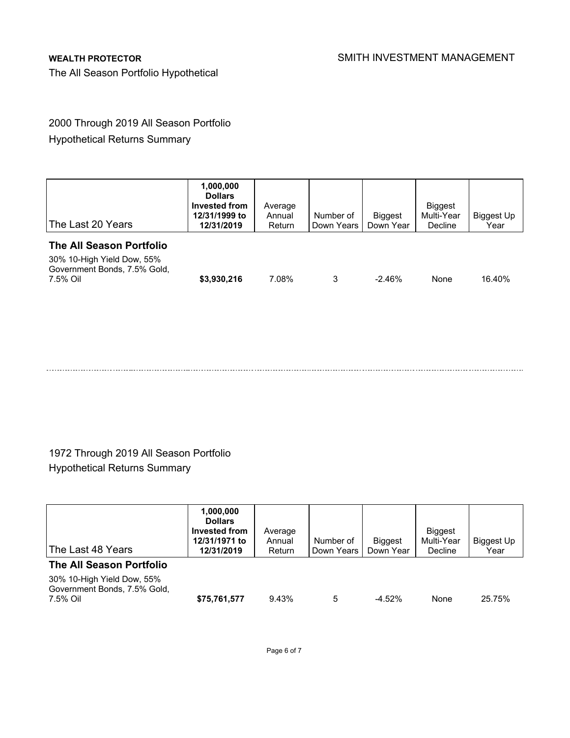The All Season Portfolio Hypothetical

## 2000 Through 2019 All Season Portfolio

Hypothetical Returns Summary

| The Last 20 Years                                                                                  | 1,000,000<br><b>Dollars</b><br>Invested from<br>12/31/1999 to<br>12/31/2019 | Average<br>Annual<br>Return | Number of<br>Down Years | <b>Biggest</b><br>Down Year | <b>Biggest</b><br>Multi-Year<br>Decline | Biggest Up<br>Year |
|----------------------------------------------------------------------------------------------------|-----------------------------------------------------------------------------|-----------------------------|-------------------------|-----------------------------|-----------------------------------------|--------------------|
| The All Season Portfolio<br>30% 10-High Yield Dow, 55%<br>Government Bonds, 7.5% Gold,<br>7.5% Oil | \$3,930,216                                                                 | 7.08%                       | 3                       | $-2.46%$                    | None                                    | 16.40%             |

## 1972 Through 2019 All Season Portfolio Hypothetical Returns Summary

| The Last 48 Years                                                      | 1,000,000<br><b>Dollars</b><br>Invested from<br>12/31/1971 to<br>12/31/2019 | Average<br>Annual<br>Return | Number of<br>Down Years | <b>Biggest</b><br>Down Year | <b>Biggest</b><br>Multi-Year<br>Decline | Biggest Up<br>Year |
|------------------------------------------------------------------------|-----------------------------------------------------------------------------|-----------------------------|-------------------------|-----------------------------|-----------------------------------------|--------------------|
| The All Season Portfolio                                               |                                                                             |                             |                         |                             |                                         |                    |
| 30% 10-High Yield Dow, 55%<br>Government Bonds, 7.5% Gold.<br>7.5% Oil | \$75,761,577                                                                | 9.43%                       | 5                       | $-4.52%$                    | None                                    | 25.75%             |